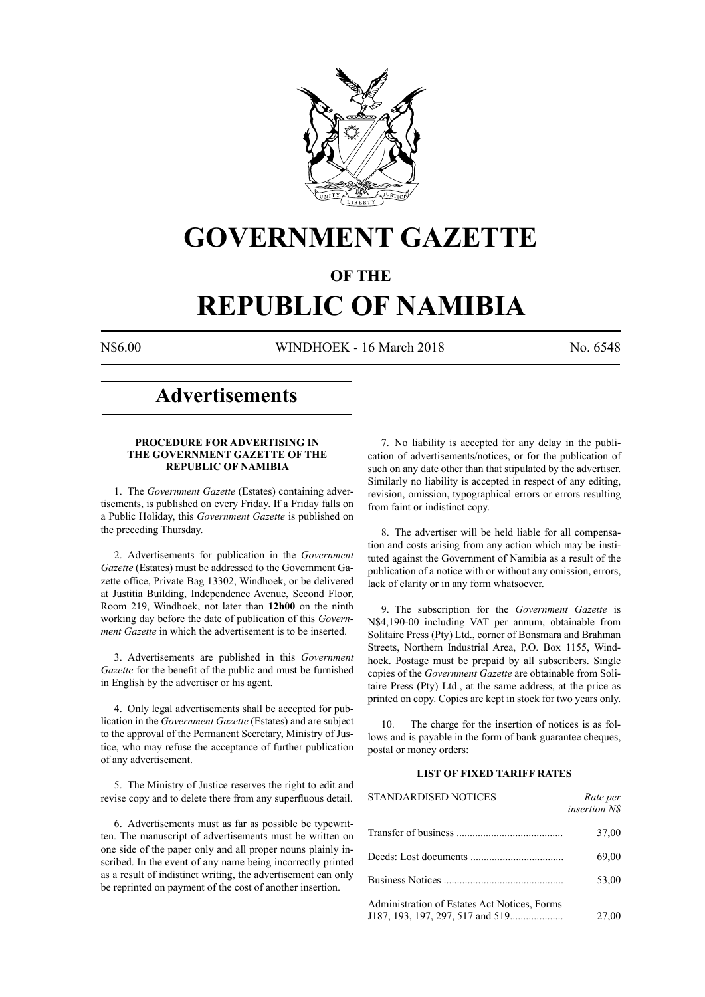

## **GOVERNMENT GAZETTE**

### **OF THE**

# **REPUBLIC OF NAMIBIA**

N\$6.00 WINDHOEK - 16 March 2018 No. 6548

### **Advertisements**

#### **PROCEDURE FOR ADVERTISING IN THE GOVERNMENT GAZETTE OF THE REPUBLIC OF NAMIBIA**

1. The *Government Gazette* (Estates) containing advertisements, is published on every Friday. If a Friday falls on a Public Holiday, this *Government Gazette* is published on the preceding Thursday.

2. Advertisements for publication in the *Government Gazette* (Estates) must be addressed to the Government Gazette office, Private Bag 13302, Windhoek, or be delivered at Justitia Building, Independence Avenue, Second Floor, Room 219, Windhoek, not later than **12h00** on the ninth working day before the date of publication of this *Government Gazette* in which the advertisement is to be inserted.

3. Advertisements are published in this *Government Gazette* for the benefit of the public and must be furnished in English by the advertiser or his agent.

4. Only legal advertisements shall be accepted for publication in the *Government Gazette* (Estates) and are subject to the approval of the Permanent Secretary, Ministry of Justice, who may refuse the acceptance of further publication of any advertisement.

5. The Ministry of Justice reserves the right to edit and revise copy and to delete there from any superfluous detail.

6. Advertisements must as far as possible be typewritten. The manuscript of advertisements must be written on one side of the paper only and all proper nouns plainly inscribed. In the event of any name being incorrectly printed as a result of indistinct writing, the advertisement can only be reprinted on payment of the cost of another insertion.

7. No liability is accepted for any delay in the publication of advertisements/notices, or for the publication of such on any date other than that stipulated by the advertiser. Similarly no liability is accepted in respect of any editing, revision, omission, typographical errors or errors resulting from faint or indistinct copy.

8. The advertiser will be held liable for all compensation and costs arising from any action which may be instituted against the Government of Namibia as a result of the publication of a notice with or without any omission, errors, lack of clarity or in any form whatsoever.

9. The subscription for the *Government Gazette* is N\$4,190-00 including VAT per annum, obtainable from Solitaire Press (Pty) Ltd., corner of Bonsmara and Brahman Streets, Northern Industrial Area, P.O. Box 1155, Windhoek. Postage must be prepaid by all subscribers. Single copies of the *Government Gazette* are obtainable from Solitaire Press (Pty) Ltd., at the same address, at the price as printed on copy. Copies are kept in stock for two years only.

10. The charge for the insertion of notices is as follows and is payable in the form of bank guarantee cheques, postal or money orders:

#### **LIST OF FIXED TARIFF RATES**

| <b>STANDARDISED NOTICES</b>                  | Rate per<br><i>insertion NS</i> |
|----------------------------------------------|---------------------------------|
|                                              | 37,00                           |
|                                              | 69,00                           |
|                                              | 53,00                           |
| Administration of Estates Act Notices, Forms | 27,00                           |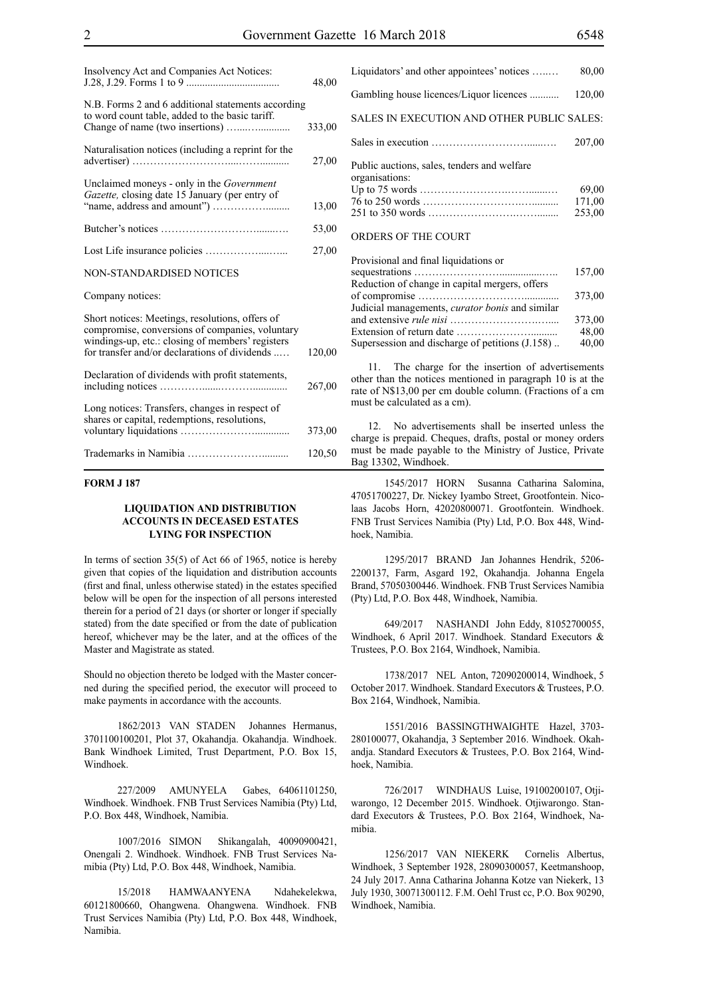| Insolvency Act and Companies Act Notices:                                                                                                                                                               | 48,00  |
|---------------------------------------------------------------------------------------------------------------------------------------------------------------------------------------------------------|--------|
| N.B. Forms 2 and 6 additional statements according<br>to word count table, added to the basic tariff.                                                                                                   | 333,00 |
| Naturalisation notices (including a reprint for the                                                                                                                                                     | 27,00  |
| Unclaimed moneys - only in the Government<br>Gazette, closing date 15 January (per entry of                                                                                                             | 13,00  |
|                                                                                                                                                                                                         | 53,00  |
|                                                                                                                                                                                                         | 27,00  |
| <b>NON-STANDARDISED NOTICES</b>                                                                                                                                                                         |        |
| Company notices:                                                                                                                                                                                        |        |
| Short notices: Meetings, resolutions, offers of<br>compromise, conversions of companies, voluntary<br>windings-up, etc.: closing of members' registers<br>for transfer and/or declarations of dividends | 120,00 |
| Declaration of dividends with profit statements,                                                                                                                                                        | 267,00 |
| Long notices: Transfers, changes in respect of<br>shares or capital, redemptions, resolutions,                                                                                                          | 373,00 |
|                                                                                                                                                                                                         | 120,50 |

#### **FORM J 187**

#### **LIQUIDATION AND DISTRIBUTION ACCOUNTS IN DECEASED ESTATES LYING FOR INSPECTION**

In terms of section 35(5) of Act 66 of 1965, notice is hereby given that copies of the liquidation and distribution accounts (first and final, unless otherwise stated) in the estates specified below will be open for the inspection of all persons interested therein for a period of 21 days (or shorter or longer if specially stated) from the date specified or from the date of publication hereof, whichever may be the later, and at the offices of the Master and Magistrate as stated.

Should no objection thereto be lodged with the Master concerned during the specified period, the executor will proceed to make payments in accordance with the accounts.

1862/2013 VAN STADEN Johannes Hermanus, 3701100100201, Plot 37, Okahandja. Okahandja. Windhoek. Bank Windhoek Limited, Trust Department, P.O. Box 15, Windhoek.

227/2009 AMUNYELA Gabes, 64061101250, Windhoek. Windhoek. FNB Trust Services Namibia (Pty) Ltd, P.O. Box 448, Windhoek, Namibia.

1007/2016 SIMON Shikangalah, 40090900421, Onengali 2. Windhoek. Windhoek. FNB Trust Services Namibia (Pty) Ltd, P.O. Box 448, Windhoek, Namibia.

15/2018 HAMWAANYENA Ndahekelekwa, 60121800660, Ohangwena. Ohangwena. Windhoek. FNB Trust Services Namibia (Pty) Ltd, P.O. Box 448, Windhoek, Namibia.

| Liquidators' and other appointees' notices                    | 80,00                     |
|---------------------------------------------------------------|---------------------------|
| Gambling house licences/Liquor licences                       | 120,00                    |
| SALES IN EXECUTION AND OTHER PUBLIC SALES:                    |                           |
|                                                               | 207,00                    |
| Public auctions, sales, tenders and welfare<br>organisations: | 69,00<br>171,00<br>253,00 |
| ORDERS OF THE COURT                                           |                           |

#### Provisional and final liquidations or sequestrations ……………………................….. 157,00 Reduction of change in capital mergers, offers of compromise …………………………............. 373,00 Judicial managements, *curator bonis* and similar and extensive *rule nisi* …………………….….... 373,00 Extension of return date ………………….......... 48,00

Supersession and discharge of petitions  $(J.158)$ .

11. The charge for the insertion of advertisements other than the notices mentioned in paragraph 10 is at the rate of N\$13,00 per cm double column. (Fractions of a cm must be calculated as a cm).

12. No advertisements shall be inserted unless the charge is prepaid. Cheques, drafts, postal or money orders must be made payable to the Ministry of Justice, Private Bag 13302, Windhoek.

1545/2017 HORN Susanna Catharina Salomina, 47051700227, Dr. Nickey Iyambo Street, Grootfontein. Nicolaas Jacobs Horn, 42020800071. Grootfontein. Windhoek. FNB Trust Services Namibia (Pty) Ltd, P.O. Box 448, Windhoek, Namibia.

1295/2017 BRAND Jan Johannes Hendrik, 5206- 2200137, Farm, Asgard 192, Okahandja. Johanna Engela Brand, 57050300446. Windhoek. FNB Trust Services Namibia (Pty) Ltd, P.O. Box 448, Windhoek, Namibia.

649/2017 NASHANDI John Eddy, 81052700055, Windhoek, 6 April 2017. Windhoek. Standard Executors & Trustees, P.O. Box 2164, Windhoek, Namibia.

1738/2017 NEL Anton, 72090200014, Windhoek, 5 October 2017. Windhoek. Standard Executors & Trustees, P.O. Box 2164, Windhoek, Namibia.

1551/2016 BASSINGTHWAIGHTE Hazel, 3703- 280100077, Okahandja, 3 September 2016. Windhoek. Okahandja. Standard Executors & Trustees, P.O. Box 2164, Windhoek, Namibia.

726/2017 WINDHAUS Luise, 19100200107, Otjiwarongo, 12 December 2015. Windhoek. Otjiwarongo. Standard Executors & Trustees, P.O. Box 2164, Windhoek, Namibia.

1256/2017 VAN NIEKERK Cornelis Albertus, Windhoek, 3 September 1928, 28090300057, Keetmanshoop, 24 July 2017. Anna Catharina Johanna Kotze van Niekerk, 13 July 1930, 30071300112. F.M. Oehl Trust cc, P.O. Box 90290, Windhoek, Namibia.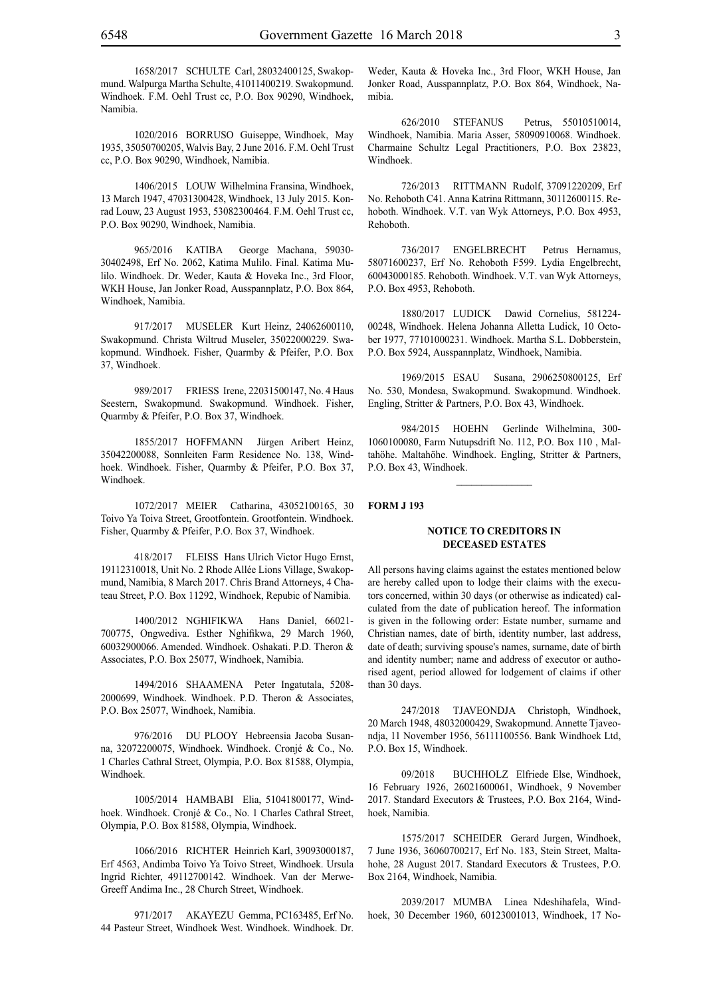1020/2016 BORRUSO Guiseppe, Windhoek, May 1935, 35050700205, Walvis Bay, 2 June 2016. F.M. Oehl Trust cc, P.O. Box 90290, Windhoek, Namibia.

1406/2015 LOUW Wilhelmina Fransina, Windhoek, 13 March 1947, 47031300428, Windhoek, 13 July 2015. Konrad Louw, 23 August 1953, 53082300464. F.M. Oehl Trust cc, P.O. Box 90290, Windhoek, Namibia.

965/2016 KATIBA George Machana, 59030- 30402498, Erf No. 2062, Katima Mulilo. Final. Katima Mulilo. Windhoek. Dr. Weder, Kauta & Hoveka Inc., 3rd Floor, WKH House, Jan Jonker Road, Ausspannplatz, P.O. Box 864, Windhoek, Namibia.

917/2017 MUSELER Kurt Heinz, 24062600110, Swakopmund. Christa Wiltrud Museler, 35022000229. Swakopmund. Windhoek. Fisher, Quarmby & Pfeifer, P.O. Box 37, Windhoek.

989/2017 friess Irene, 22031500147, No. 4 Haus Seestern, Swakopmund. Swakopmund. Windhoek. Fisher, Quarmby & Pfeifer, P.O. Box 37, Windhoek.

1855/2017 HOFFMANN Jürgen Aribert Heinz, 35042200088, Sonnleiten Farm Residence No. 138, Windhoek. Windhoek. Fisher, Quarmby & Pfeifer, P.O. Box 37, Windhoek.

1072/2017 MEIER Catharina, 43052100165, 30 Toivo Ya Toiva Street, Grootfontein. Grootfontein. Windhoek. Fisher, Quarmby & Pfeifer, P.O. Box 37, Windhoek.

418/2017 FLEISS Hans Ulrich Victor Hugo Ernst, 19112310018, Unit No. 2 Rhode Allée Lions Village, Swakopmund, Namibia, 8 March 2017. Chris Brand Attorneys, 4 Chateau Street, P.O. Box 11292, Windhoek, Repubic of Namibia.

1400/2012 NGHIFIKWA Hans Daniel, 66021- 700775, Ongwediva. Esther Nghifikwa, 29 March 1960, 60032900066. Amended. Windhoek. Oshakati. P.D. Theron & Associates, P.O. Box 25077, Windhoek, Namibia.

1494/2016 SHAAMENA Peter Ingatutala, 5208- 2000699, Windhoek. Windhoek. P.D. Theron & Associates, P.O. Box 25077, Windhoek, Namibia.

976/2016 DU PLOOY Hebreensia Jacoba Susanna, 32072200075, Windhoek. Windhoek. Cronjé & Co., No. 1 Charles Cathral Street, Olympia, P.O. Box 81588, Olympia, Windhoek.

1005/2014 HAMBABI Elia, 51041800177, Windhoek. Windhoek. Cronjé & Co., No. 1 Charles Cathral Street, Olympia, P.O. Box 81588, Olympia, Windhoek.

1066/2016 RICHTER Heinrich Karl, 39093000187, Erf 4563, Andimba Toivo Ya Toivo Street, Windhoek. Ursula Ingrid Richter, 49112700142. Windhoek. Van der Merwe-Greeff Andima Inc., 28 Church Street, Windhoek.

971/2017 AKAYEZU Gemma, PC163485, Erf No. 44 Pasteur Street, Windhoek West. Windhoek. Windhoek. Dr.

Weder, Kauta & Hoveka Inc., 3rd Floor, WKH House, Jan Jonker Road, Ausspannplatz, P.O. Box 864, Windhoek, Namibia.

626/2010 STEFANUS Petrus, 55010510014, Windhoek, Namibia. Maria Asser, 58090910068. Windhoek. Charmaine Schultz Legal Practitioners, P.O. Box 23823, Windhoek.

726/2013 RITTMANN Rudolf, 37091220209, Erf No. Rehoboth C41. Anna Katrina Rittmann, 30112600115. Rehoboth. Windhoek. V.T. van Wyk Attorneys, P.O. Box 4953, Rehoboth.

736/2017 ENGELBRECHT Petrus Hernamus, 58071600237, Erf No. Rehoboth F599. Lydia Engelbrecht, 60043000185. Rehoboth. Windhoek. V.T. van Wyk Attorneys, P.O. Box 4953, Rehoboth.

1880/2017 LUDICK Dawid Cornelius, 581224- 00248, Windhoek. Helena Johanna Alletta Ludick, 10 October 1977, 77101000231. Windhoek. Martha S.L. Dobberstein, P.O. Box 5924, Ausspannplatz, Windhoek, Namibia.

1969/2015 ESAU Susana, 2906250800125, Erf No. 530, Mondesa, Swakopmund. Swakopmund. Windhoek. Engling, Stritter & Partners, P.O. Box 43, Windhoek.

984/2015 HOEHN Gerlinde Wilhelmina, 300- 1060100080, Farm Nutupsdrift No. 112, P.O. Box 110 , Maltahöhe. Maltahöhe. Windhoek. Engling, Stritter & Partners, P.O. Box 43, Windhoek.

 $\frac{1}{2}$ 

**FORM J 193**

#### **NOTICE TO CREDITORS IN DECEASED ESTATES**

All persons having claims against the estates mentioned below are hereby called upon to lodge their claims with the executors concerned, within 30 days (or otherwise as indicated) calculated from the date of publication hereof. The information is given in the following order: Estate number, surname and Christian names, date of birth, identity number, last address, date of death; surviving spouse's names, surname, date of birth and identity number; name and address of executor or authorised agent, period allowed for lodgement of claims if other than 30 days.

247/2018 TJAVEONDJA Christoph, Windhoek, 20 March 1948, 48032000429, Swakopmund. Annette Tjaveondja, 11 November 1956, 56111100556. Bank Windhoek Ltd, P.O. Box 15, Windhoek.

09/2018 BUCHHOLZ Elfriede Else, Windhoek, 16 February 1926, 26021600061, Windhoek, 9 November 2017. Standard Executors & Trustees, P.O. Box 2164, Windhoek, Namibia.

1575/2017 SCHEIDER Gerard Jurgen, Windhoek, 7 June 1936, 36060700217, Erf No. 183, Stein Street, Maltahohe, 28 August 2017. Standard Executors & Trustees, P.O. Box 2164, Windhoek, Namibia.

2039/2017 MUMBA Linea Ndeshihafela, Windhoek, 30 December 1960, 60123001013, Windhoek, 17 No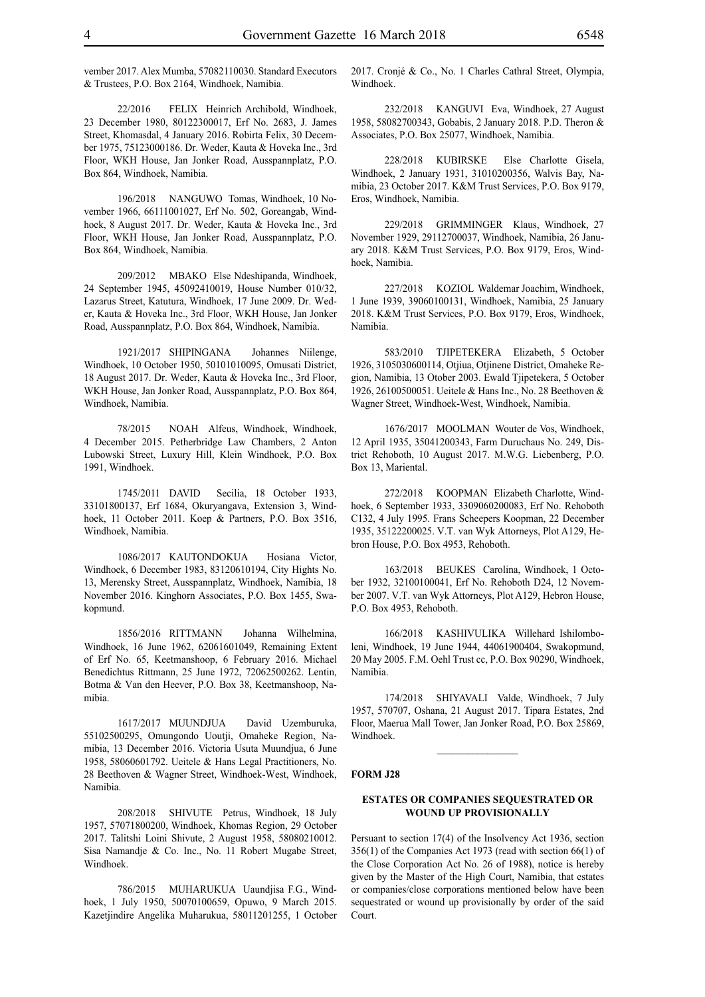vember 2017. Alex Mumba, 57082110030. Standard Executors & Trustees, P.O. Box 2164, Windhoek, Namibia.

22/2016 FELIX Heinrich Archibold, Windhoek, 23 December 1980, 80122300017, Erf No. 2683, J. James Street, Khomasdal, 4 January 2016. Robirta Felix, 30 December 1975, 75123000186. Dr. Weder, Kauta & Hoveka Inc., 3rd Floor, WKH House, Jan Jonker Road, Ausspannplatz, P.O. Box 864, Windhoek, Namibia.

196/2018 NANGUWO Tomas, Windhoek, 10 November 1966, 66111001027, Erf No. 502, Goreangab, Windhoek, 8 August 2017. Dr. Weder, Kauta & Hoveka Inc., 3rd Floor, WKH House, Jan Jonker Road, Ausspannplatz, P.O. Box 864, Windhoek, Namibia.

209/2012 MBAKO Else Ndeshipanda, Windhoek, 24 September 1945, 45092410019, House Number 010/32, Lazarus Street, Katutura, Windhoek, 17 June 2009. Dr. Weder, Kauta & Hoveka Inc., 3rd Floor, WKH House, Jan Jonker Road, Ausspannplatz, P.O. Box 864, Windhoek, Namibia.

1921/2017 SHIPINGANA Johannes Niilenge, Windhoek, 10 October 1950, 50101010095, Omusati District, 18 August 2017. Dr. Weder, Kauta & Hoveka Inc., 3rd Floor, WKH House, Jan Jonker Road, Ausspannplatz, P.O. Box 864, Windhoek, Namibia.

78/2015 NOAH Alfeus, Windhoek, Windhoek, 4 December 2015. Petherbridge Law Chambers, 2 Anton Lubowski Street, Luxury Hill, Klein Windhoek, P.O. Box 1991, Windhoek.

1745/2011 DAVID Secilia, 18 October 1933, 33101800137, Erf 1684, Okuryangava, Extension 3, Windhoek, 11 October 2011. Koep & Partners, P.O. Box 3516, Windhoek, Namibia.

1086/2017 KAUTONDOKUA Hosiana Victor, Windhoek, 6 December 1983, 83120610194, City Hights No. 13, Merensky Street, Ausspannplatz, Windhoek, Namibia, 18 November 2016. Kinghorn Associates, P.O. Box 1455, Swakopmund.

1856/2016 RITTMANN Johanna Wilhelmina, Windhoek, 16 June 1962, 62061601049, Remaining Extent of Erf No. 65, Keetmanshoop, 6 February 2016. Michael Benedichtus Rittmann, 25 June 1972, 72062500262. Lentin, Botma & Van den Heever, P.O. Box 38, Keetmanshoop, Namibia.

1617/2017 MUUNDJUA David Uzemburuka, 55102500295, Omungondo Uoutji, Omaheke Region, Namibia, 13 December 2016. Victoria Usuta Muundjua, 6 June 1958, 58060601792. Ueitele & Hans Legal Practitioners, No. 28 Beethoven & Wagner Street, Windhoek-West, Windhoek, Namibia.

208/2018 SHIVUTE Petrus, Windhoek, 18 July 1957, 57071800200, Windhoek, Khomas Region, 29 October 2017. Talitshi Loini Shivute, 2 August 1958, 58080210012. Sisa Namandje & Co. Inc., No. 11 Robert Mugabe Street, Windhoek.

786/2015 MUHARUKUA Uaundjisa F.G., Windhoek, 1 July 1950, 50070100659, Opuwo, 9 March 2015. Kazetjindire Angelika Muharukua, 58011201255, 1 October 2017. Cronjé & Co., No. 1 Charles Cathral Street, Olympia, Windhoek.

232/2018 KANGUVI Eva, Windhoek, 27 August 1958, 58082700343, Gobabis, 2 January 2018. P.D. Theron & Associates, P.O. Box 25077, Windhoek, Namibia.

228/2018 KUBIRSKE Else Charlotte Gisela, Windhoek, 2 January 1931, 31010200356, Walvis Bay, Namibia, 23 October 2017. K&M Trust Services, p.o. Box 9179, Eros, Windhoek, Namibia.

229/2018 GRIMMINGER Klaus, Windhoek, 27 November 1929, 29112700037, Windhoek, Namibia, 26 January 2018. K&M Trust Services, p.o. Box 9179, Eros, Windhoek, Namibia.

227/2018 KOZIOL Waldemar Joachim, Windhoek, 1 June 1939, 39060100131, Windhoek, Namibia, 25 January 2018. K&M Trust Services, p.o. Box 9179, Eros, Windhoek, Namibia.

583/2010 TJIPETEKERA Elizabeth, 5 October 1926, 3105030600114, Otjiua, Otjinene District, Omaheke Region, Namibia, 13 Otober 2003. Ewald Tjipetekera, 5 October 1926, 26100500051. Ueitele & Hans Inc., No. 28 Beethoven & Wagner Street, Windhoek-West, Windhoek, Namibia.

1676/2017 MOOLMAN Wouter de Vos, Windhoek, 12 April 1935, 35041200343, Farm Duruchaus No. 249, District Rehoboth, 10 August 2017. M.W.G. Liebenberg, P.O. Box 13, Mariental.

272/2018 KOOPMAN Elizabeth Charlotte, Windhoek, 6 September 1933, 3309060200083, Erf No. Rehoboth C132, 4 July 1995. Frans Scheepers Koopman, 22 December 1935, 35122200025. V.T. van Wyk Attorneys, Plot A129, Hebron House, P.O. Box 4953, Rehoboth.

163/2018 BEUKES Carolina, Windhoek, 1 October 1932, 32100100041, Erf No. Rehoboth D24, 12 November 2007. V.T. van Wyk Attorneys, Plot A129, Hebron House, P.O. Box 4953, Rehoboth.

166/2018 KASHIVULIKA Willehard Ishilomboleni, Windhoek, 19 June 1944, 44061900404, Swakopmund, 20 May 2005. F.M. Oehl Trust cc, P.O. Box 90290, Windhoek, Namibia.

174/2018 SHIYAVALI Valde, Windhoek, 7 July 1957, 570707, Oshana, 21 August 2017. Tipara Estates, 2nd Floor, Maerua Mall Tower, Jan Jonker Road, P.O. Box 25869, Windhoek.

 $\frac{1}{2}$ 

#### **FORM J28**

#### **ESTATES OR COMPANIES SEQUESTRATED OR WOUND UP PROVISIONALLY**

Persuant to section 17(4) of the Insolvency Act 1936, section 356(1) of the Companies Act 1973 (read with section 66(1) of the Close Corporation Act No. 26 of 1988), notice is hereby given by the Master of the High Court, Namibia, that estates or companies/close corporations mentioned below have been sequestrated or wound up provisionally by order of the said Court.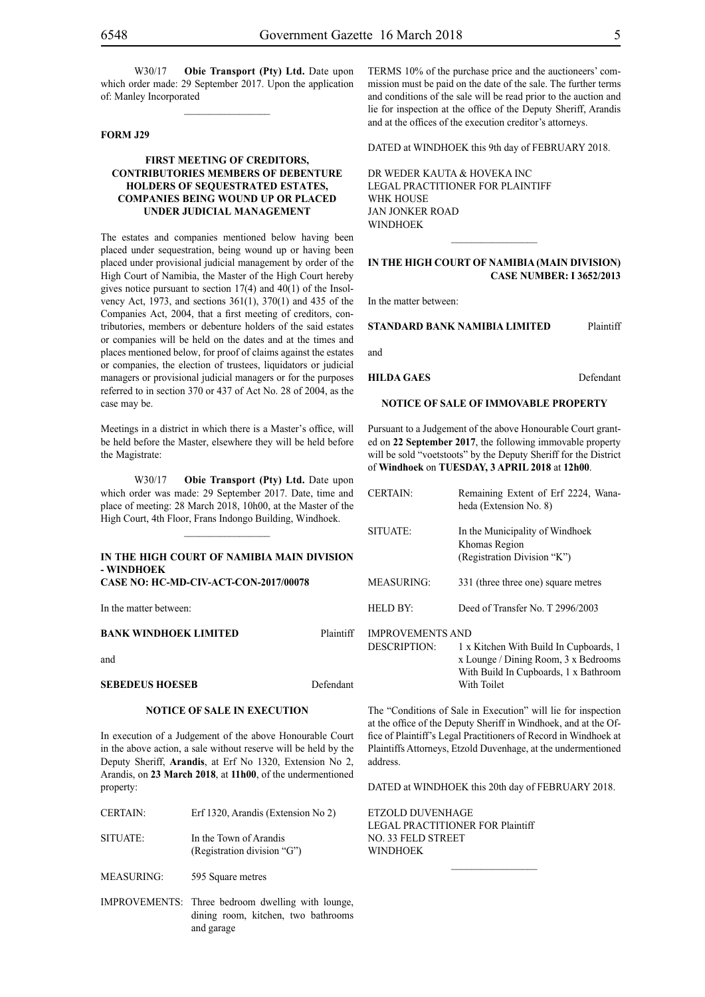$\frac{1}{2}$ 

#### **FORM J29**

#### **FIRST MEETING OF CREDITORS, CONTRIBUTORIES MEMBERS OF DEBENTURE HOLDERS OF SEQUESTRATED ESTATES, COMPANIES BEING WOUND UP OR PLACED UNDER JUDICIAL MANAGEMENT**

The estates and companies mentioned below having been placed under sequestration, being wound up or having been placed under provisional judicial management by order of the High Court of Namibia, the Master of the High Court hereby gives notice pursuant to section 17(4) and 40(1) of the Insolvency Act, 1973, and sections 361(1), 370(1) and 435 of the Companies Act, 2004, that a first meeting of creditors, contributories, members or debenture holders of the said estates or companies will be held on the dates and at the times and places mentioned below, for proof of claims against the estates or companies, the election of trustees, liquidators or judicial managers or provisional judicial managers or for the purposes referred to in section 370 or 437 of Act No. 28 of 2004, as the case may be.

Meetings in a district in which there is a Master's office, will be held before the Master, elsewhere they will be held before the Magistrate:

W30/17 **Obie Transport (Pty) Ltd.** Date upon which order was made: 29 September 2017. Date, time and place of meeting: 28 March 2018, 10h00, at the Master of the High Court, 4th Floor, Frans Indongo Building, Windhoek.

#### **IN THE HIGH COURT OF NAMIBIA MAIN DIVISION - WINDHOEK CASE NO: HC-MD-CIV-ACT-CON-2017/00078**

In the matter between:

#### **BANK WINDHOEK LIMITED** Plaintiff

and

**SEBEDEUS HOESEB** Defendant

#### **NOTICE OF SALE IN EXECUTION**

In execution of a Judgement of the above Honourable Court in the above action, a sale without reserve will be held by the Deputy Sheriff, **Arandis**, at Erf No 1320, Extension No 2, Arandis, on **23 March 2018**, at **11h00**, of the undermentioned property:

| <b>CERTAIN:</b> | Erf 1320, Arandis (Extension No 2) | ETZ <sup>O</sup> |
|-----------------|------------------------------------|------------------|
|                 |                                    | LEG.             |
| SITUATE:        | In the Town of Arandis             | NO.              |
|                 | (Registration division "G")        | WIN              |
|                 |                                    |                  |

MEASURING: 595 Square metres

IMPROVEMENTS: Three bedroom dwelling with lounge, dining room, kitchen, two bathrooms and garage

TERMS 10% of the purchase price and the auctioneers' commission must be paid on the date of the sale. The further terms and conditions of the sale will be read prior to the auction and lie for inspection at the office of the Deputy Sheriff, Arandis and at the offices of the execution creditor's attorneys.

DATED at WINDHOEK this 9th day of FEBRUARY 2018.

DR WEDER KAUTA & HOVEKA INC Legal Practitioner for Plaintiff WHK HOUSE Jan Jonker Road **WINDHOEK** 

#### **IN THE HIGH COURT OF NAMIBIA (Main Division) Case Number: I 3652/2013**

 $\overline{\phantom{a}}$  ,  $\overline{\phantom{a}}$  ,  $\overline{\phantom{a}}$  ,  $\overline{\phantom{a}}$  ,  $\overline{\phantom{a}}$  ,  $\overline{\phantom{a}}$  ,  $\overline{\phantom{a}}$  ,  $\overline{\phantom{a}}$  ,  $\overline{\phantom{a}}$  ,  $\overline{\phantom{a}}$  ,  $\overline{\phantom{a}}$  ,  $\overline{\phantom{a}}$  ,  $\overline{\phantom{a}}$  ,  $\overline{\phantom{a}}$  ,  $\overline{\phantom{a}}$  ,  $\overline{\phantom{a}}$ 

In the matter between:

**STANDARD BANK NAMIBIA LIMITED** Plaintiff

and

**HILDA GAES** Defendant

#### **NOTICE OF SALE OF IMMOVABLE PROPERTY**

Pursuant to a Judgement of the above Honourable Court granted on **22 September 2017**, the following immovable property will be sold "voetstoots" by the Deputy Sheriff for the District of **Windhoek** on **TUESDAY, 3 APRIL 2018** at **12h00**.

| <b>CERTAIN:</b>         | Remaining Extent of Erf 2224, Wana-<br>heda (Extension No. 8)                                                                          |
|-------------------------|----------------------------------------------------------------------------------------------------------------------------------------|
| SITUATE:                | In the Municipality of Windhoek<br>Khomas Region<br>(Registration Division "K")                                                        |
| MEASURING:              | 331 (three three one) square metres                                                                                                    |
| HELD BY:                | Deed of Transfer No. T 2996/2003                                                                                                       |
| <b>IMPROVEMENTS AND</b> |                                                                                                                                        |
| DESCRIPTION:            | 1 x Kitchen With Build In Cupboards, 1<br>x Lounge / Dining Room, 3 x Bedrooms<br>With Build In Cupboards, 1 x Bathroom<br>With Toilet |

The "Conditions of Sale in Execution" will lie for inspection at the office of the Deputy Sheriff in Windhoek, and at the Office of Plaintiff's Legal Practitioners of Record in Windhoek at Plaintiffs Attorneys, Etzold Duvenhage, at the undermentioned address.

DATED at WINDHOEK this 20th day of FEBRUARY 2018.

 $\frac{1}{2}$ 

**DED DUVENHAGE** LEGAL PRACTITIONER FOR Plaintiff 33 FELD STREET **DHOEK**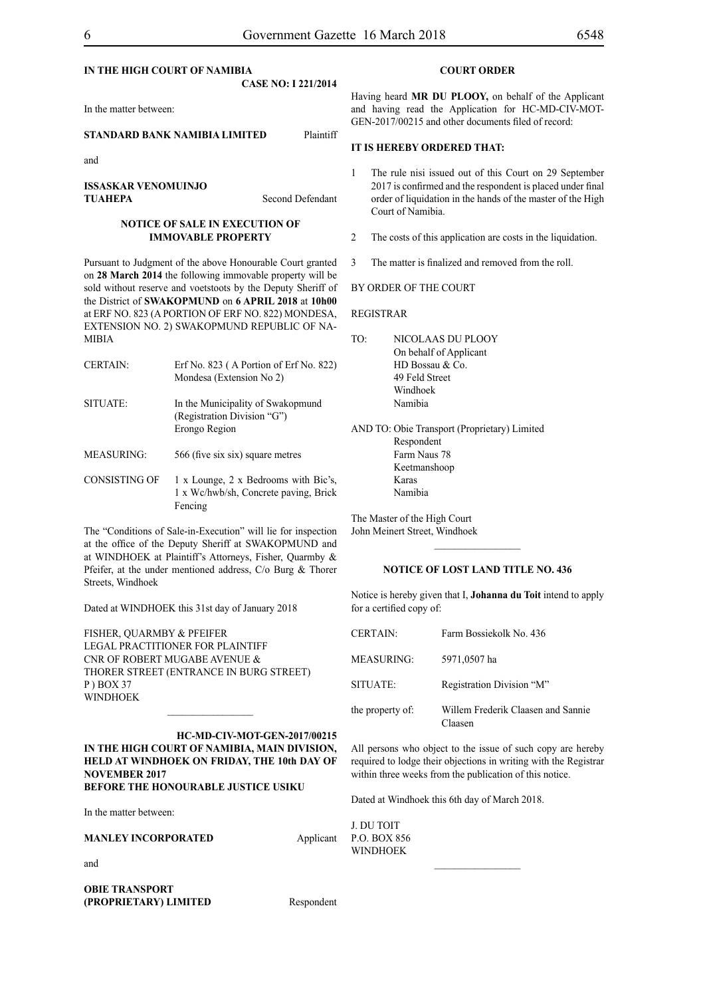#### **IN THE HIGH COURT OF NAMIBIA CASE NO: I 221/2014**

In the matter between:

#### **STANDARD BANK NAMIBIA LIMITED** Plaintiff

and

**ISSASKAR VENOMUINJO TUAHEPA** Second Defendant

#### **NOTICE OF SALE IN EXECUTION OF IMMOVABLE PROPERTY**

Pursuant to Judgment of the above Honourable Court granted on **28 March 2014** the following immovable property will be sold without reserve and voetstoots by the Deputy Sheriff of the District of **SWAKOPMUND** on **6 APRIL 2018** at **10h00** at ERF NO. 823 (A PORTION OF ERF NO. 822) MONDESA, EXTENSION NO. 2) SWAKOPMUND REPUBLIC OF NA-MIBIA

| <b>CERTAIN:</b>   | Erf No. $823$ (A Portion of Erf No. $822$ )<br>Mondesa (Extension No 2)           |
|-------------------|-----------------------------------------------------------------------------------|
| SITUATE:          | In the Municipality of Swakopmund<br>(Registration Division "G")<br>Erongo Region |
| <b>MEASURING:</b> | 566 (five six six) square metres                                                  |
| CONSISTING OF     | 1 x Lounge, 2 x Bedrooms with Bic's,<br>1 x Wc/hwb/sh, Concrete paving, Brick     |

The "Conditions of Sale-in-Execution" will lie for inspection at the office of the Deputy Sheriff at SWAKOPMUND and at WINDHOEK at Plaintiff's Attorneys, Fisher, Quarmby & Pfeifer, at the under mentioned address, C/o Burg & Thorer Streets, Windhoek

Dated at WINDHOEK this 31st day of January 2018

Fencing

FISHER, QUARMBY & PFEIFER LEGAL PRACTITIONER FOR Plaintiff Cnr of Robert Mugabe Avenue & Thorer Street (entrance in Burg Street) P ) Box 37 WINDHOEK

**HC-MD-CIV-MOT-GEN-2017/00215 IN THE HIGH COURT OF NAMIBIA, MAIN DIVISION, HELD AT WINDHOEK ON FRIDAY, THE 10th DAY OF NOVEMBER 2017 BEFORE THE HONOURABLE JUSTICE USIKU**

 $\frac{1}{2}$ 

In the matter between:

|  | MANLEY INCORPORATED |
|--|---------------------|
|--|---------------------|

**OBIE TRANSPORT (PROPRIETARY) LIMITED** Respondent

**Applicant** 

#### **COURT ORDER**

Having heard **MR DU PLOOY,** on behalf of the Applicant and having read the Application for HC-MD-CIV-MOT-GEN-2017/00215 and other documents filed of record:

#### **IT IS HEREBY ORDERED THAT:**

- 1 The rule nisi issued out of this Court on 29 September 2017 is confirmed and the respondent is placed under final order of liquidation in the hands of the master of the High Court of Namibia.
- 2 The costs of this application are costs in the liquidation.
- 3 The matter is finalized and removed from the roll.

#### BY ORDER OF THE COURT

REGISTRAR

TO: NICOLAAS DU PLOOY On behalf of Applicant HD Bossau & Co. 49 Feld Street Windhoek Namibia

AND TO: Obie Transport (Proprietary) Limited Respondent Farm Naus 78 Keetmanshoop Karas Namibia

The Master of the High Court John Meinert Street, Windhoek

#### **NOTICE OF LOST LAND TITLE NO. 436**

 $\frac{1}{2}$ 

Notice is hereby given that I, **Johanna du Toit** intend to apply for a certified copy of:

| <b>CERTAIN:</b>   | Farm Bossiekolk No. 436                       |
|-------------------|-----------------------------------------------|
| <b>MEASURING:</b> | 5971,0507 ha                                  |
| SITUATE:          | Registration Division "M"                     |
| the property of:  | Willem Frederik Claasen and Sannie<br>daasen: |

All persons who object to the issue of such copy are hereby required to lodge their objections in writing with the Registrar within three weeks from the publication of this notice.

 $\frac{1}{2}$ 

Dated at Windhoek this 6th day of March 2018.

J. DU TOIT p.o. box 856 **WINDHOEK**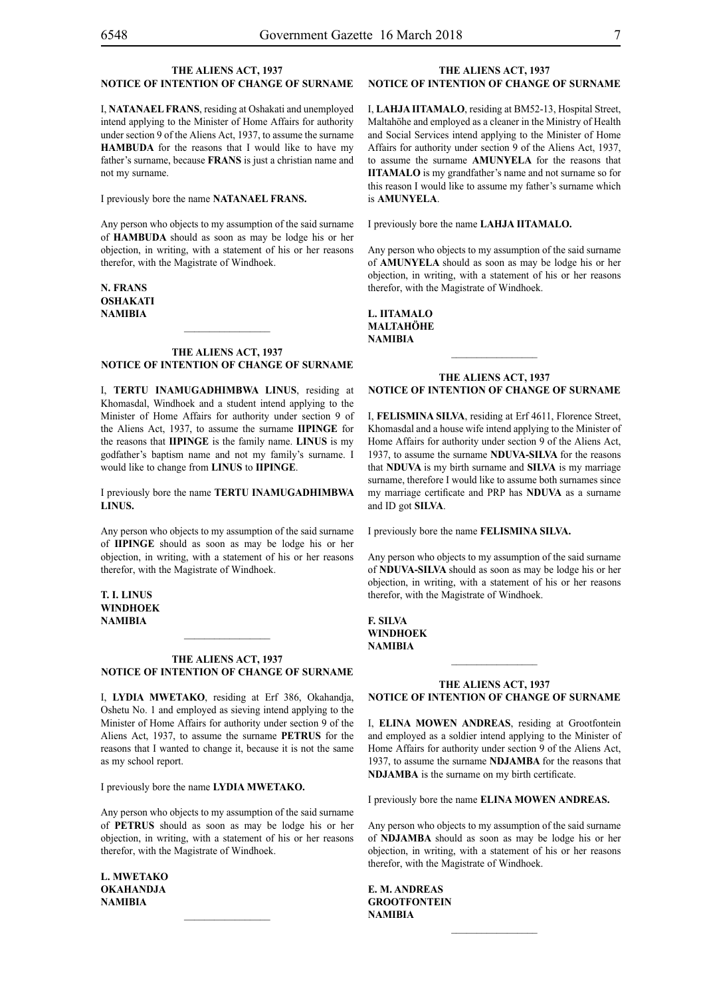#### **THE ALIENS ACT, 1937 NOTICE OF INTENTION OF CHANGE OF SURNAME**

I, **NATANAEL FRANS**, residing at Oshakati and unemployed intend applying to the Minister of Home Affairs for authority under section 9 of the Aliens Act, 1937, to assume the surname **HAMBUDA** for the reasons that I would like to have my father's surname, because **FRANS** is just a christian name and not my surname.

I previously bore the name **natanael frans.**

Any person who objects to my assumption of the said surname of **hambuda** should as soon as may be lodge his or her objection, in writing, with a statement of his or her reasons therefor, with the Magistrate of Windhoek.

**n. frans oshakati NAMIBIA**

#### **THE ALIENS ACT, 1937 NOTICE OF INTENTION OF CHANGE OF SURNAME**

 $\frac{1}{2}$ 

I, **tertu inamugadhimbwa linus**, residing at Khomasdal, Windhoek and a student intend applying to the Minister of Home Affairs for authority under section 9 of the Aliens Act, 1937, to assume the surname **iipinge** for the reasons that **IIPINGE** is the family name. **LINUS** is my godfather's baptism name and not my family's surname. I would like to change from **LINUS** to **IIPINGE**.

I previously bore the name **tertu inamugadhimbwa linus.**

Any person who objects to my assumption of the said surname of **IIPINGE** should as soon as may be lodge his or her objection, in writing, with a statement of his or her reasons therefor, with the Magistrate of Windhoek.

**t. i. linus Windhoek NAMIBIA**

#### **THE ALIENS ACT, 1937 NOTICE OF INTENTION OF CHANGE OF SURNAME**

I, **lydia mwetako**, residing at Erf 386, Okahandja, Oshetu No. 1 and employed as sieving intend applying to the Minister of Home Affairs for authority under section 9 of the Aliens Act, 1937, to assume the surname **PETRUS** for the reasons that I wanted to change it, because it is not the same as my school report.

I previously bore the name **LYDIA MWETAKO.** 

Any person who objects to my assumption of the said surname of **petrus** should as soon as may be lodge his or her objection, in writing, with a statement of his or her reasons therefor, with the Magistrate of Windhoek.

**l. mwetako okahandja NAMIBIA**

#### **THE ALIENS ACT, 1937 NOTICE OF INTENTION OF CHANGE OF SURNAME**

I, **lahja iitamalo**, residing at BM52-13, Hospital Street, Maltahöhe and employed as a cleaner in the Ministry of Health and Social Services intend applying to the Minister of Home Affairs for authority under section 9 of the Aliens Act, 1937, to assume the surname **amunyela** for the reasons that **IITAMALO** is my grandfather's name and not surname so for this reason I would like to assume my father's surname which is **AMUNYELA**.

I previously bore the name **lahja iitamalO.**

Any person who objects to my assumption of the said surname of **amunyela** should as soon as may be lodge his or her objection, in writing, with a statement of his or her reasons therefor, with the Magistrate of Windhoek.

**l. iitamalO maltahÖhe NAMIBIA**

#### **THE ALIENS ACT, 1937 NOTICE OF INTENTION OF CHANGE OF SURNAME**

I, **felismina silva**, residing at Erf 4611, Florence Street, Khomasdal and a house wife intend applying to the Minister of Home Affairs for authority under section 9 of the Aliens Act, 1937, to assume the surname **nduva-silva** for the reasons that **NDUVA** is my birth surname and **SILVA** is my marriage surname, therefore I would like to assume both surnames since my marriage certificate and PRP has **NDUVA** as a surname and ID got **silva**.

I previously bore the name **felismina silvA.**

Any person who objects to my assumption of the said surname of **NDUVA-SILVA** should as soon as may be lodge his or her objection, in writing, with a statement of his or her reasons therefor, with the Magistrate of Windhoek.

**f. silvA Windhoek NAMIBIA**

#### **THE ALIENS ACT, 1937 NOTICE OF INTENTION OF CHANGE OF SURNAME**

 $\frac{1}{2}$ 

I, **elina mowen andreas**, residing at Grootfontein and employed as a soldier intend applying to the Minister of Home Affairs for authority under section 9 of the Aliens Act, 1937, to assume the surname **NDJAMBA** for the reasons that **NDJAMBA** is the surname on my birth certificate.

I previously bore the name **elina mowen andreas.**

Any person who objects to my assumption of the said surname of **NDJAMBA** should as soon as may be lodge his or her objection, in writing, with a statement of his or her reasons therefor, with the Magistrate of Windhoek.

 $\frac{1}{2}$ 

**e. m. andreas grootfontein NAMIBIA**